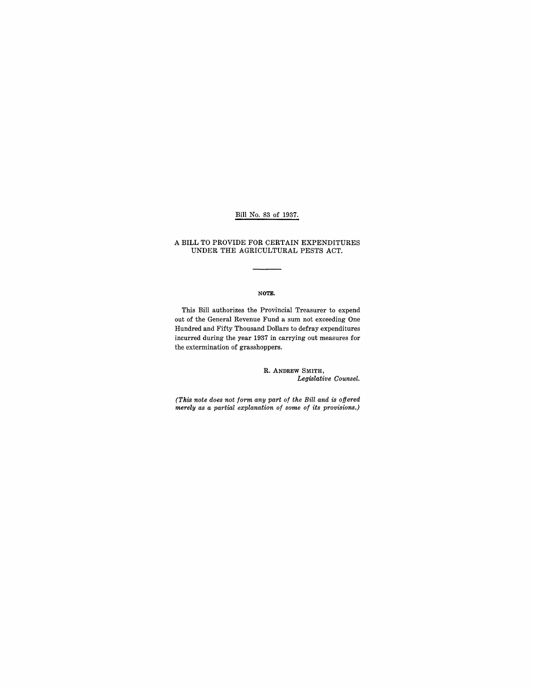## Bill No. 83 of 1937.

A BILL TO PROVIDE FOR CERTAIN EXPENDITURES UNDER THE AGRICULTURAL PESTS ACT.

### NOTE.

This Bill authorizes the Provincial Treasurer to expend out of the General Revenue Fund a sum not exceeding One Hundred and Fifty Thousand Dollars to defray expenditures incurred during the year 1937 in carrying out measures for the extermination of grasshoppers.

> R. ANDREW SMITH, *Legislative Counsel.*

*(This note does not form any part of the Bill and is offered merely as a partial explanation of some of its provisions.)*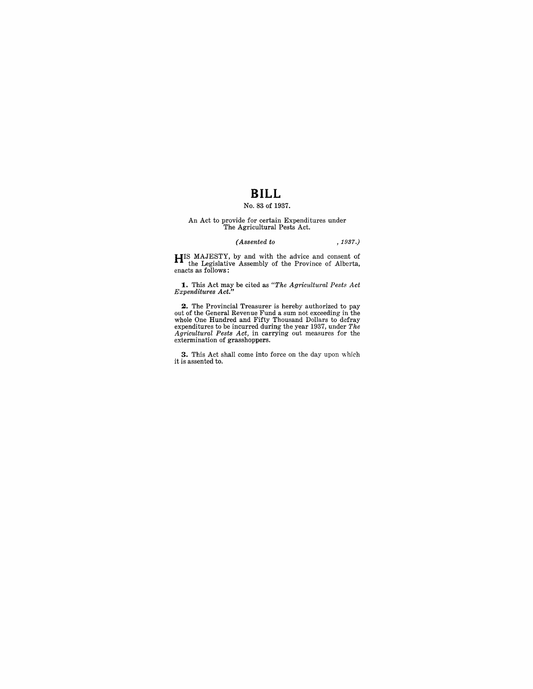## **BILL**

### No. 83 of 1937.

# An Act to provide for certain Expenditures under The Agricultural Pests Act.

### *(Assented to* , 1937.)

**HIS** MAJESTY, by and with the advice and consent of the Legislative Assembly of the Province of Alberta, enacts as follows:

**1.** This Act may be cited as *"The Agricultural Pests Act Expenditures Act."* 

**2.** The Provincial Treasurer is hereby authorized to pay out of the General Revenue Fund a sum not exceeding in the whole One Hundred and Fifty Thousand Dollars to defray expenditures to be incurred during the year 1937, under *The Agricultural Pests Act,* in carrying out measures for the extermination of grasshoppers.

**3.** This Act shall come into force on the day upon which it is assented to.